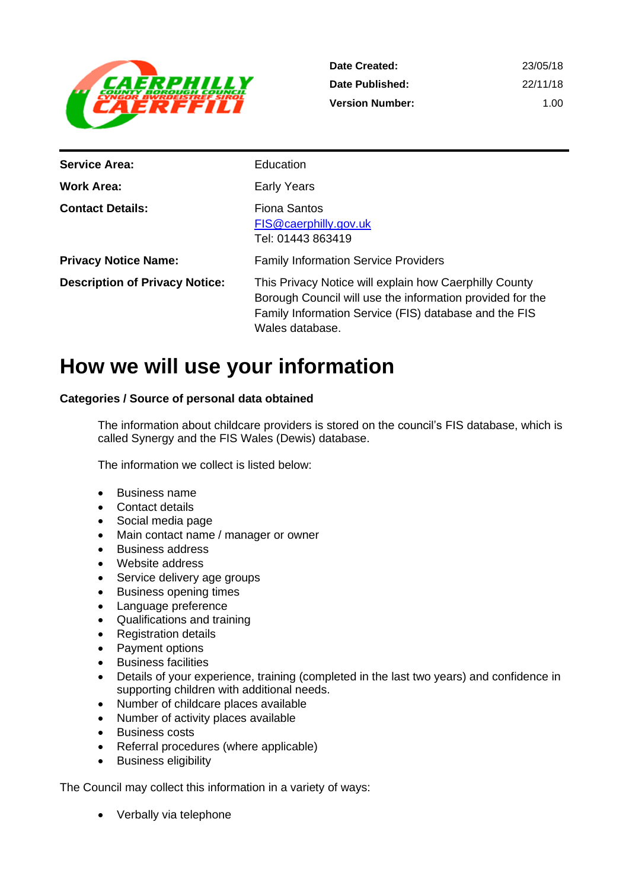

| Date Created:          | 23/05/18 |
|------------------------|----------|
| Date Published:        | 22/11/18 |
| <b>Version Number:</b> | 1 Q O    |

| <b>Service Area:</b>                  | Education                                                                                                                                                                                       |
|---------------------------------------|-------------------------------------------------------------------------------------------------------------------------------------------------------------------------------------------------|
| <b>Work Area:</b>                     | <b>Early Years</b>                                                                                                                                                                              |
| <b>Contact Details:</b>               | <b>Fiona Santos</b><br>FIS@caerphilly.gov.uk<br>Tel: 01443 863419                                                                                                                               |
| <b>Privacy Notice Name:</b>           | <b>Family Information Service Providers</b>                                                                                                                                                     |
| <b>Description of Privacy Notice:</b> | This Privacy Notice will explain how Caerphilly County<br>Borough Council will use the information provided for the<br>Family Information Service (FIS) database and the FIS<br>Wales database. |

# **How we will use your information**

# **Categories / Source of personal data obtained**

The information about childcare providers is stored on the council's FIS database, which is called Synergy and the FIS Wales (Dewis) database.

The information we collect is listed below:

- Business name
- Contact details
- Social media page
- Main contact name / manager or owner
- Business address
- Website address
- Service delivery age groups
- Business opening times
- Language preference
- Qualifications and training
- Registration details
- Payment options
- Business facilities
- Details of your experience, training (completed in the last two years) and confidence in supporting children with additional needs.
- Number of childcare places available
- Number of activity places available
- Business costs
- Referral procedures (where applicable)
- Business eligibility

The Council may collect this information in a variety of ways:

• Verbally via telephone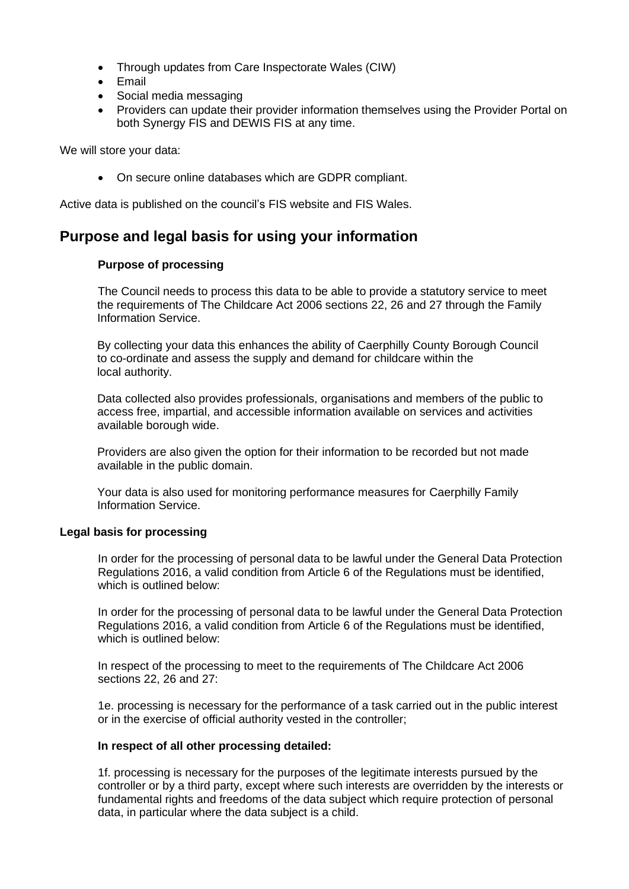- Through updates from Care Inspectorate Wales (CIW)
- Email
- Social media messaging
- Providers can update their provider information themselves using the Provider Portal on both Synergy FIS and DEWIS FIS at any time.

We will store your data:

• On secure online databases which are GDPR compliant.

Active data is published on the council's FIS website and FIS Wales.

# **Purpose and legal basis for using your information**

#### **Purpose of processing**

The Council needs to process this data to be able to provide a statutory service to meet the requirements of The Childcare Act 2006 sections 22, 26 and 27 through the Family Information Service.

By collecting your data this enhances the ability of Caerphilly County Borough Council to co-ordinate and assess the supply and demand for childcare within the local authority.

Data collected also provides professionals, organisations and members of the public to access free, impartial, and accessible information available on services and activities available borough wide.

Providers are also given the option for their information to be recorded but not made available in the public domain.

Your data is also used for monitoring performance measures for Caerphilly Family Information Service.

# **Legal basis for processing**

In order for the processing of personal data to be lawful under the General Data Protection Regulations 2016, a valid condition from Article 6 of the Regulations must be identified, which is outlined below:

In order for the processing of personal data to be lawful under the General Data Protection Regulations 2016, a valid condition from Article 6 of the Regulations must be identified, which is outlined below:

In respect of the processing to meet to the requirements of The Childcare Act 2006 sections 22, 26 and 27:

1e. processing is necessary for the performance of a task carried out in the public interest or in the exercise of official authority vested in the controller;

# **In respect of all other processing detailed:**

1f. processing is necessary for the purposes of the legitimate interests pursued by the controller or by a third party, except where such interests are overridden by the interests or fundamental rights and freedoms of the data subject which require protection of personal data, in particular where the data subject is a child.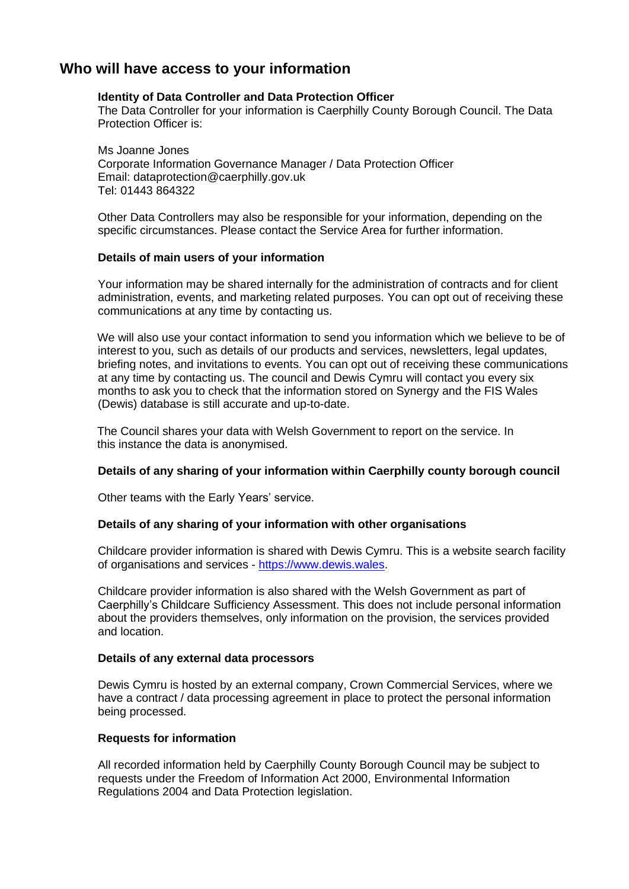# **Who will have access to your information**

# **Identity of Data Controller and Data Protection Officer**

The Data Controller for your information is Caerphilly County Borough Council. The Data Protection Officer is:

Ms Joanne Jones Corporate Information Governance Manager / Data Protection Officer Email: dataprotection@caerphilly.gov.uk Tel: 01443 864322

Other Data Controllers may also be responsible for your information, depending on the specific circumstances. Please contact the Service Area for further information.

# **Details of main users of your information**

Your information may be shared internally for the administration of contracts and for client administration, events, and marketing related purposes. You can opt out of receiving these communications at any time by contacting us.

We will also use your contact information to send you information which we believe to be of interest to you, such as details of our products and services, newsletters, legal updates, briefing notes, and invitations to events. You can opt out of receiving these communications at any time by contacting us. The council and Dewis Cymru will contact you every six months to ask you to check that the information stored on Synergy and the FIS Wales (Dewis) database is still accurate and up-to-date.

The Council shares your data with Welsh Government to report on the service. In this instance the data is anonymised.

# **Details of any sharing of your information within Caerphilly county borough council**

Other teams with the Early Years' service.

#### **Details of any sharing of your information with other organisations**

Childcare provider information is shared with Dewis Cymru. This is a website search facility of organisations and services - [https://www.dewis.wales.](https://www.dewis.wales/)

Childcare provider information is also shared with the Welsh Government as part of Caerphilly's Childcare Sufficiency Assessment. This does not include personal information about the providers themselves, only information on the provision, the services provided and location.

#### **Details of any external data processors**

Dewis Cymru is hosted by an external company, Crown Commercial Services, where we have a contract / data processing agreement in place to protect the personal information being processed.

# **Requests for information**

All recorded information held by Caerphilly County Borough Council may be subject to requests under the Freedom of Information Act 2000, Environmental Information Regulations 2004 and Data Protection legislation.